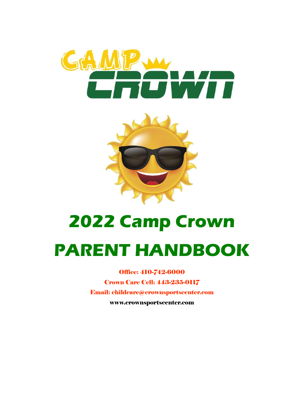



# **2022 Camp Crown**

# **PARENT HANDBOOK**

Office: 410-742-6000 Crown Care Cell: 443-235-0117 Email: childcare@crownsportscenter.com [www.crownsportscenter.com](http://www.crownsportscenter.com/)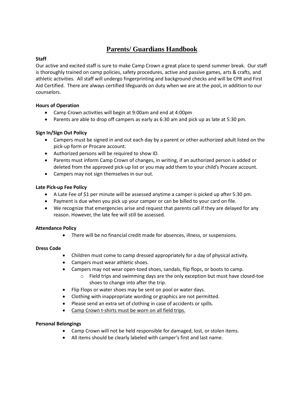# **Parents/ Guardians Handbook**

# **Staff**

Our active and excited staff is sure to make Camp Crown a great place to spend summer break. Our staff is thoroughly trained on camp policies, safety procedures, active and passive games, arts & crafts, and athletic activities. All staff will undergo fingerprinting and background checks and will be CPR and First Aid Certified. There are always certified lifeguards on duty when we are at the pool, in addition to our counselors.

# **Hours of Operation**

- Camp Crown activities will begin at 9:00am and end at 4:00pm
- Parents are able to drop off campers as early as 6:30 am and pick up as late at 5:30 pm.

# **Sign In/Sign Out Policy**

- Campers must be signed in and out each day by a parent or other authorized adult listed on the pick-up form or Procare account.
- Authorized persons will be required to show ID.
- Parents must inform Camp Crown of changes, in writing, if an authorized person is added or deleted from the approved pick-up list or you may add them to your child's Procare account.
- Campers may not sign themselves in our out.

# **Late Pick-up Fee Policy**

- A Late Fee of \$1 per minute will be assessed anytime a camper is picked up after 5:30 pm.
- Payment is due when you pick up your camper or can be billed to your card on file.
- We recognize that emergencies arise and request that parents call if they are delayed for any reason. However, the late fee will still be assessed.

# **Attendance Policy**

• There will be no financial credit made for absences, illness, or suspensions.

# **Dress Code**

- Children must come to camp dressed appropriately for a day of physical activity.
- Campers must wear athletic shoes.
- Campers may not wear open-toed shoes, sandals, flip flops, or boots to camp.
	- o Field trips and swimming days are the only exception but must have closed-toe shoes to change into after the trip.
- Flip Flops or water shoes may be sent on pool or water days.
- Clothing with inappropriate wording or graphics are not permitted.
- Please send an extra set of clothing in case of accidents or spills.
- Camp Crown t-shirts must be worn on all field trips.

# **Personal Belongings**

- Camp Crown will not be held responsible for damaged, lost, or stolen items.
- All items should be clearly labeled with camper's first and last name.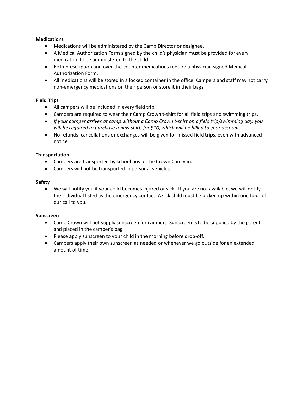#### **Medications**

- Medications will be administered by the Camp Director or designee.
- A Medical Authorization Form signed by the child's physician must be provided for every medication to be administered to the child.
- Both prescription and over-the-counter medications require a physician signed Medical Authorization Form.
- All medications will be stored in a locked container in the office. Campers and staff may not carry non-emergency medications on their person or store it in their bags.

#### **Field Trips**

- All campers will be included in every field trip.
- Campers are required to wear their Camp Crown t-shirt for all field trips and swimming trips.
- *If your camper arrives at camp without a Camp Crown t-shirt on a field trip/swimming day, you will be required to purchase a new shirt, for \$10, which will be billed to your account.*
- No refunds, cancellations or exchanges will be given for missed field trips, even with advanced notice.

#### **Transportation**

- Campers are transported by school bus or the Crown Care van.
- Campers will not be transported in personal vehicles.

#### **Safety**

• We will notify you if your child becomes injured or sick. If you are not available, we will notify the individual listed as the emergency contact. A sick child must be picked up within one hour of our call to you.

#### **Sunscreen**

- Camp Crown will not supply sunscreen for campers. Sunscreen is to be supplied by the parent and placed in the camper's bag.
- Please apply sunscreen to your child in the morning before drop-off.
- Campers apply their own sunscreen as needed or whenever we go outside for an extended amount of time.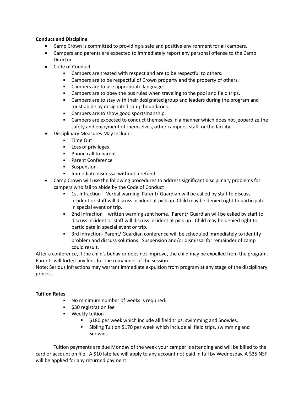#### **Conduct and Discipline**

- Camp Crown is committed to providing a safe and positive environment for all campers.
- Campers and parents are expected to immediately report any personal offense to the Camp Director.
- Code of Conduct
	- Campers are treated with respect and are to be respectful to others.
	- **EXEC** Campers are to be respectful of Crown property and the property of others.
	- Campers are to use appropriate language.
	- Campers are to obey the bus rules when traveling to the pool and field trips.
	- Campers are to stay with their designated group and leaders during the program and must abide by designated camp boundaries.
	- Campers are to show good sportsmanship.
	- Campers are expected to conduct themselves in a manner which does not jeopardize the safety and enjoyment of themselves, other campers, staff, or the facility.
- Disciplinary Measures May Include:
	- Time Out
	- Loss of privileges
	- Phone call to parent
	- Parent Conference
	- Suspension
	- Immediate dismissal without a refund
- Camp Crown will use the following procedures to address significant disciplinary problems for campers who fail to abide by the Code of Conduct
	- 1st Infraction Verbal warning. Parent/ Guardian will be called by staff to discuss incident or staff will discuss incident at pick up. Child may be denied right to participate in special event or trip.
	- 2nd Infraction written warning sent home. Parent/ Guardian will be called by staff to discuss incident or staff will discuss incident at pick up. Child may be denied right to participate in special event or trip.
	- 3rd Infraction- Parent/ Guardian conference will be scheduled immediately to identify problem and discuss solutions. Suspension and/or dismissal for remainder of camp could result.

After a conference, if the child's behavior does not improve, the child may be expelled from the program. Parents will forfeit any fees for the remainder of the session.

Note: Serious infractions may warrant immediate expulsion from program at any stage of the disciplinary process.

#### **Tuition Rates**

- No minimum number of weeks is required.
- \$30 registration fee
- Weekly tuition
	- \$180 per week which include all field trips, swimming and Snowies.
	- Sibling Tuition \$170 per week which include all field trips, swimming and Snowies.

Tuition payments are due Monday of the week your camper is attending and will be billed to the card or account on file. A \$10 late fee will apply to any account not paid in full by Wednesday. A \$35 NSF will be applied for any returned payment.